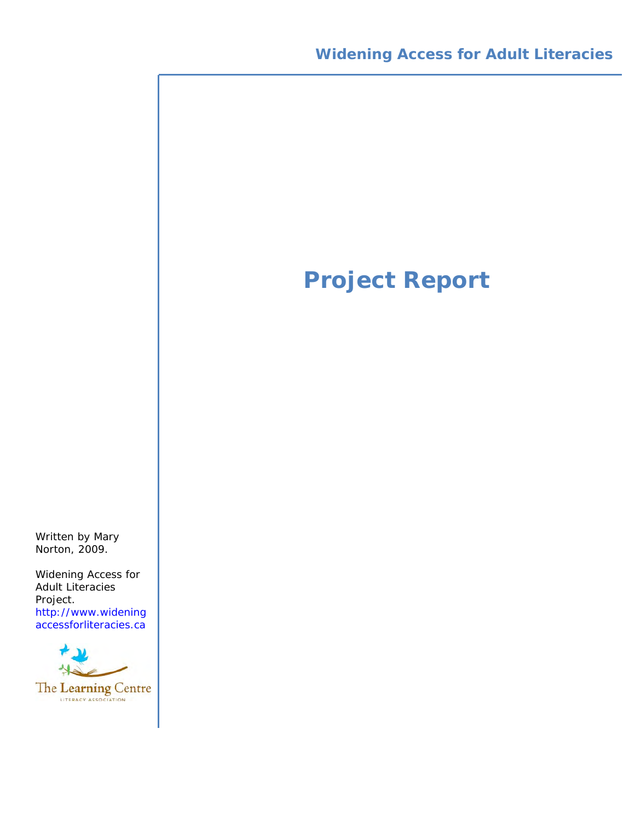# **Project Report**

Written by Mary Norton, 2009.

Widening Access for Adult Literacies Project. [http://www.widening](http://www.wideningaccessforliteracies.ca) accessforliteracies.ca

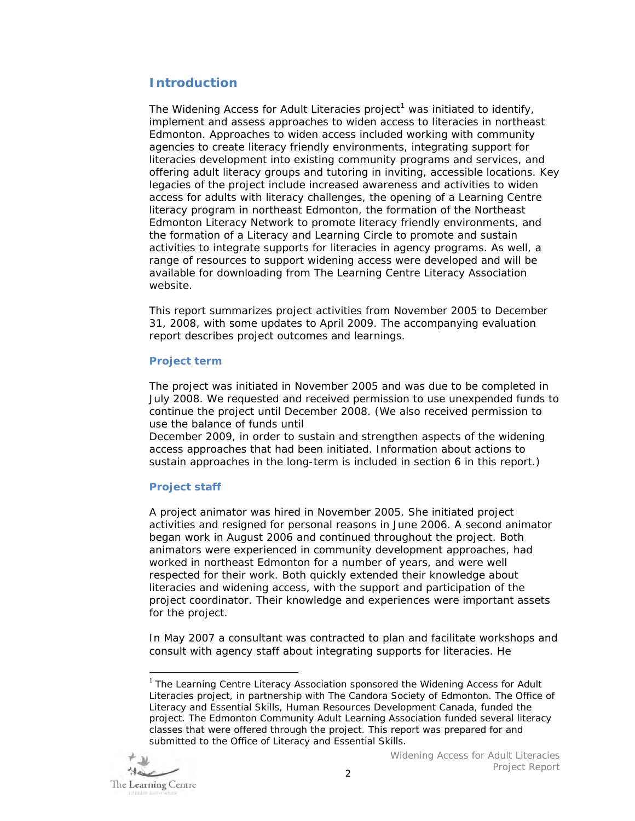# **Introduction**

The Widening Access for Adult Literacies project<sup>1</sup> was initiated to identify, implement and assess approaches to widen access to literacies in northeast Edmonton. Approaches to widen access included working with community agencies to create literacy friendly environments, integrating support for literacies development into existing community programs and services, and offering adult literacy groups and tutoring in inviting, accessible locations. Key legacies of the project include increased awareness and activities to widen access for adults with literacy challenges, the opening of a Learning Centre literacy program in northeast Edmonton, the formation of the Northeast Edmonton Literacy Network to promote literacy friendly environments, and the formation of a Literacy and Learning Circle to promote and sustain activities to integrate supports for literacies in agency programs. As well, a range of resources to support widening access were developed and will be available for downloading from The Learning Centre Literacy Association website.

This report summarizes project activities from November 2005 to December 31, 2008, with some updates to April 2009. The accompanying evaluation report describes project outcomes and learnings.

# **Project term**

The project was initiated in November 2005 and was due to be completed in July 2008. We requested and received permission to use unexpended funds to continue the project until December 2008. (We also received permission to use the balance of funds until

December 2009, in order to sustain and strengthen aspects of the widening access approaches that had been initiated. Information about actions to sustain approaches in the long-term is included in section 6 in this report.)

# **Project staff**

A project animator was hired in November 2005. She initiated project activities and resigned for personal reasons in June 2006. A second animator began work in August 2006 and continued throughout the project. Both animators were experienced in community development approaches, had worked in northeast Edmonton for a number of years, and were well respected for their work. Both quickly extended their knowledge about literacies and widening access, with the support and participation of the project coordinator. Their knowledge and experiences were important assets for the project.

In May 2007 a consultant was contracted to plan and facilitate workshops and consult with agency staff about integrating supports for literacies. He

 $<sup>1</sup>$  The Learning Centre Literacy Association sponsored the Widening Access for Adult</sup> Literacies project, in partnership with The Candora Society of Edmonton. The Office of Literacy and Essential Skills, Human Resources Development Canada, funded the project. The Edmonton Community Adult Learning Association funded several literacy classes that were offered through the project. This report was prepared for and submitted to the Office of Literacy and Essential Skills.



 $\overline{a}$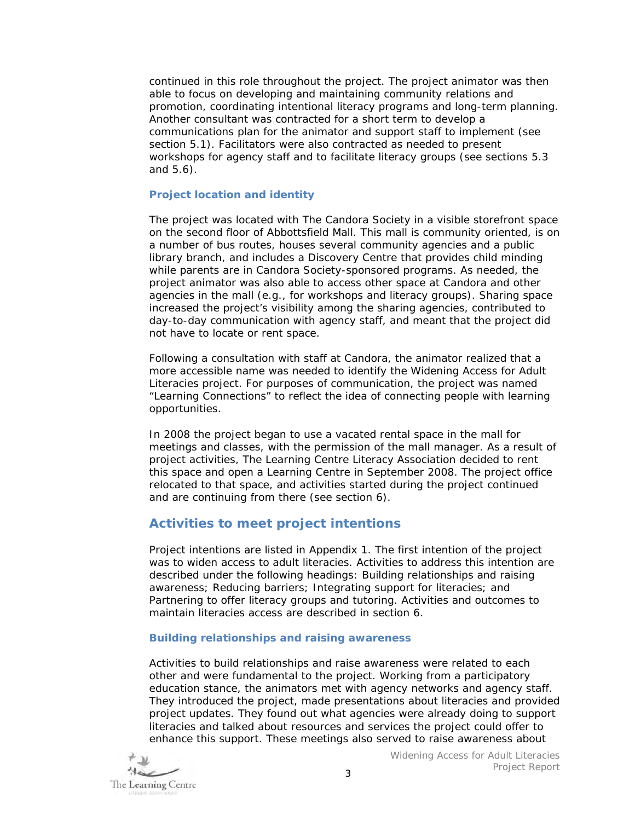continued in this role throughout the project. The project animator was then able to focus on developing and maintaining community relations and promotion, coordinating intentional literacy programs and long-term planning. Another consultant was contracted for a short term to develop a communications plan for the animator and support staff to implement (see section 5.1). Facilitators were also contracted as needed to present workshops for agency staff and to facilitate literacy groups (see sections 5.3 and 5.6).

# **Project location and identity**

The project was located with The Candora Society in a visible storefront space on the second floor of Abbottsfield Mall. This mall is community oriented, is on a number of bus routes, houses several community agencies and a public library branch, and includes a Discovery Centre that provides child minding while parents are in Candora Society-sponsored programs. As needed, the project animator was also able to access other space at Candora and other agencies in the mall (e.g., for workshops and literacy groups). Sharing space increased the project's visibility among the sharing agencies, contributed to day-to-day communication with agency staff, and meant that the project did not have to locate or rent space.

Following a consultation with staff at Candora, the animator realized that a more accessible name was needed to identify the Widening Access for Adult Literacies project. For purposes of communication, the project was named "Learning Connections" to reflect the idea of connecting people with learning opportunities.

In 2008 the project began to use a vacated rental space in the mall for meetings and classes, with the permission of the mall manager. As a result of project activities, The Learning Centre Literacy Association decided to rent this space and open a Learning Centre in September 2008. The project office relocated to that space, and activities started during the project continued and are continuing from there (see section 6).

# **Activities to meet project intentions**

Project intentions are listed in Appendix 1. The first intention of the project was to widen access to adult literacies. Activities to address this intention are described under the following headings: Building relationships and raising awareness; Reducing barriers; Integrating support for literacies; and Partnering to offer literacy groups and tutoring. Activities and outcomes to maintain literacies access are described in section 6.

# **Building relationships and raising awareness**

Activities to build relationships and raise awareness were related to each other and were fundamental to the project. Working from a participatory education stance, the animators met with agency networks and agency staff. They introduced the project, made presentations about literacies and provided project updates. They found out what agencies were already doing to support literacies and talked about resources and services the project could offer to enhance this support. These meetings also served to raise awareness about

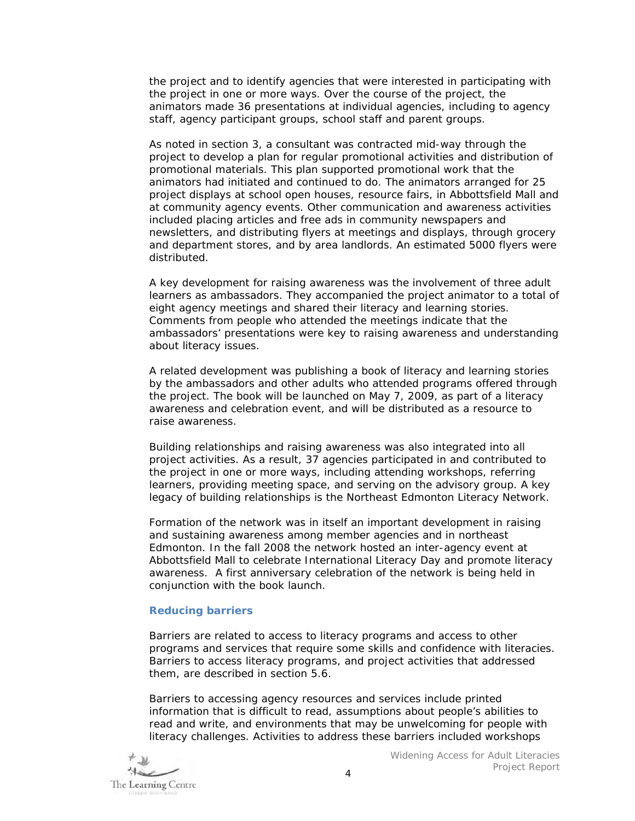the project and to identify agencies that were interested in participating with the project in one or more ways. Over the course of the project, the animators made 36 presentations at individual agencies, including to agency staff, agency participant groups, school staff and parent groups.

As noted in section 3, a consultant was contracted mid-way through the project to develop a plan for regular promotional activities and distribution of promotional materials. This plan supported promotional work that the animators had initiated and continued to do. The animators arranged for 25 project displays at school open houses, resource fairs, in Abbottsfield Mall and at community agency events. Other communication and awareness activities included placing articles and free ads in community newspapers and newsletters, and distributing flyers at meetings and displays, through grocery and department stores, and by area landlords. An estimated 5000 flyers were distributed.

A key development for raising awareness was the involvement of three adult learners as ambassadors. They accompanied the project animator to a total of eight agency meetings and shared their literacy and learning stories. Comments from people who attended the meetings indicate that the ambassadors' presentations were key to raising awareness and understanding about literacy issues.

A related development was publishing a book of literacy and learning stories by the ambassadors and other adults who attended programs offered through the project. The book will be launched on May 7, 2009, as part of a literacy awareness and celebration event, and will be distributed as a resource to raise awareness.

Building relationships and raising awareness was also integrated into all project activities. As a result, 37 agencies participated in and contributed to the project in one or more ways, including attending workshops, referring learners, providing meeting space, and serving on the advisory group. A key legacy of building relationships is the Northeast Edmonton Literacy Network.

Formation of the network was in itself an important development in raising and sustaining awareness among member agencies and in northeast Edmonton. In the fall 2008 the network hosted an inter-agency event at Abbottsfield Mall to celebrate International Literacy Day and promote literacy awareness. A first anniversary celebration of the network is being held in conjunction with the book launch.

# **Reducing barriers**

Barriers are related to *access to literacy programs* and *access to other programs and services* that require some skills and confidence with literacies. Barriers to access literacy programs, and project activities that addressed them, are described in section 5.6.

Barriers to accessing *agency resources and services* include printed information that is difficult to read, assumptions about people's abilities to read and write, and environments that may be unwelcoming for people with literacy challenges. Activities to address these barriers included workshops

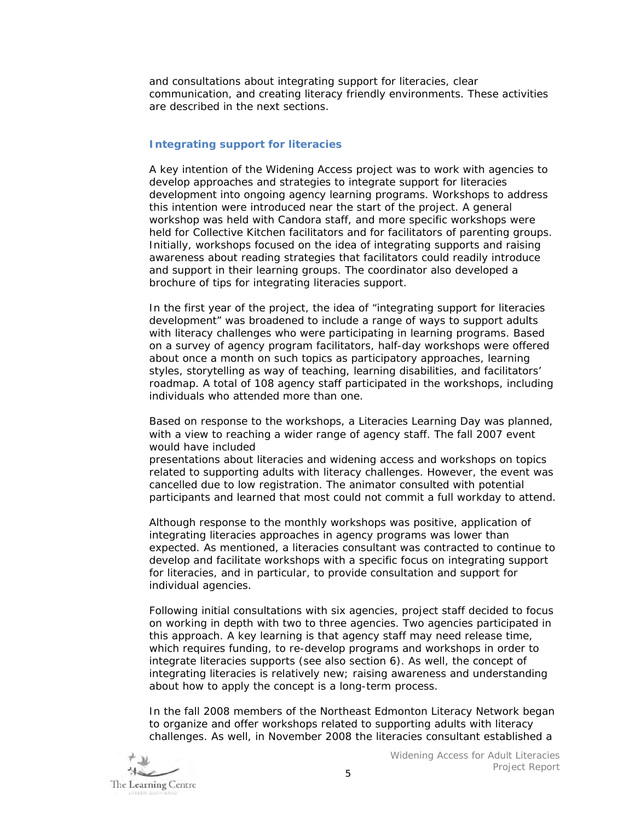and consultations about integrating support for literacies, clear communication, and creating literacy friendly environments. These activities are described in the next sections.

#### **Integrating support for literacies**

A key intention of the Widening Access project was to work with agencies to develop approaches and strategies to integrate support for literacies development into ongoing agency learning programs. Workshops to address this intention were introduced near the start of the project. A general workshop was held with Candora staff, and more specific workshops were held for Collective Kitchen facilitators and for facilitators of parenting groups. Initially, workshops focused on the idea of integrating supports and raising awareness about reading strategies that facilitators could readily introduce and support in their learning groups. The coordinator also developed a brochure of tips for integrating literacies support.

In the first year of the project, the idea of "integrating support for literacies development" was broadened to include a range of ways to support adults with literacy challenges who were participating in learning programs. Based on a survey of agency program facilitators, half-day workshops were offered about once a month on such topics as participatory approaches, learning styles, storytelling as way of teaching, learning disabilities, and facilitators' roadmap. A total of 108 agency staff participated in the workshops, including individuals who attended more than one.

Based on response to the workshops, a Literacies Learning Day was planned, with a view to reaching a wider range of agency staff. The fall 2007 event would have included

presentations about literacies and widening access and workshops on topics related to supporting adults with literacy challenges. However, the event was cancelled due to low registration. The animator consulted with potential participants and learned that most could not commit a full workday to attend.

Although response to the monthly workshops was positive, application of integrating literacies approaches in agency programs was lower than expected. As mentioned, a literacies consultant was contracted to continue to develop and facilitate workshops with a specific focus on integrating support for literacies, and in particular, to provide consultation and support for individual agencies.

Following initial consultations with six agencies, project staff decided to focus on working in depth with two to three agencies. Two agencies participated in this approach. A key learning is that agency staff may need release time, which requires funding, to re-develop programs and workshops in order to integrate literacies supports (see also section 6). As well, the concept of integrating literacies is relatively new; raising awareness and understanding about how to apply the concept is a long-term process.

In the fall 2008 members of the Northeast Edmonton Literacy Network began to organize and offer workshops related to supporting adults with literacy challenges. As well, in November 2008 the literacies consultant established a

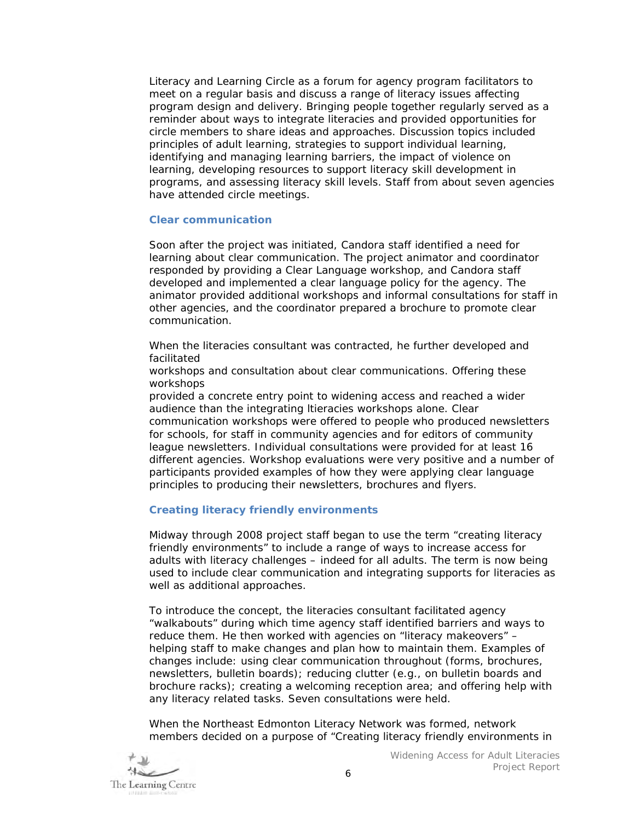Literacy and Learning Circle as a forum for agency program facilitators to meet on a regular basis and discuss a range of literacy issues affecting program design and delivery. Bringing people together regularly served as a reminder about ways to integrate literacies and provided opportunities for circle members to share ideas and approaches. Discussion topics included principles of adult learning, strategies to support individual learning, identifying and managing learning barriers, the impact of violence on learning, developing resources to support literacy skill development in programs, and assessing literacy skill levels. Staff from about seven agencies have attended circle meetings.

#### **Clear communication**

Soon after the project was initiated, Candora staff identified a need for learning about clear communication. The project animator and coordinator responded by providing a Clear Language workshop, and Candora staff developed and implemented a clear language policy for the agency. The animator provided additional workshops and informal consultations for staff in other agencies, and the coordinator prepared a brochure to promote clear communication.

When the literacies consultant was contracted, he further developed and facilitated

workshops and consultation about clear communications. Offering these workshops

provided a concrete entry point to widening access and reached a wider audience than the integrating ltieracies workshops alone. Clear communication workshops were offered to people who produced newsletters for schools, for staff in community agencies and for editors of community league newsletters. Individual consultations were provided for at least 16 different agencies. Workshop evaluations were very positive and a number of participants provided examples of how they were applying clear language principles to producing their newsletters, brochures and flyers.

# **Creating literacy friendly environments**

Midway through 2008 project staff began to use the term "creating literacy friendly environments" to include a range of ways to increase access for adults with literacy challenges – indeed for all adults. The term is now being used to include clear communication and integrating supports for literacies as well as additional approaches.

To introduce the concept, the literacies consultant facilitated agency "walkabouts" during which time agency staff identified barriers and ways to reduce them. He then worked with agencies on "literacy makeovers" – helping staff to make changes and plan how to maintain them. Examples of changes include: using clear communication throughout (forms, brochures, newsletters, bulletin boards); reducing clutter (e.g., on bulletin boards and brochure racks); creating a welcoming reception area; and offering help with any literacy related tasks. Seven consultations were held.

When the Northeast Edmonton Literacy Network was formed, network members decided on a purpose of "Creating literacy friendly environments in

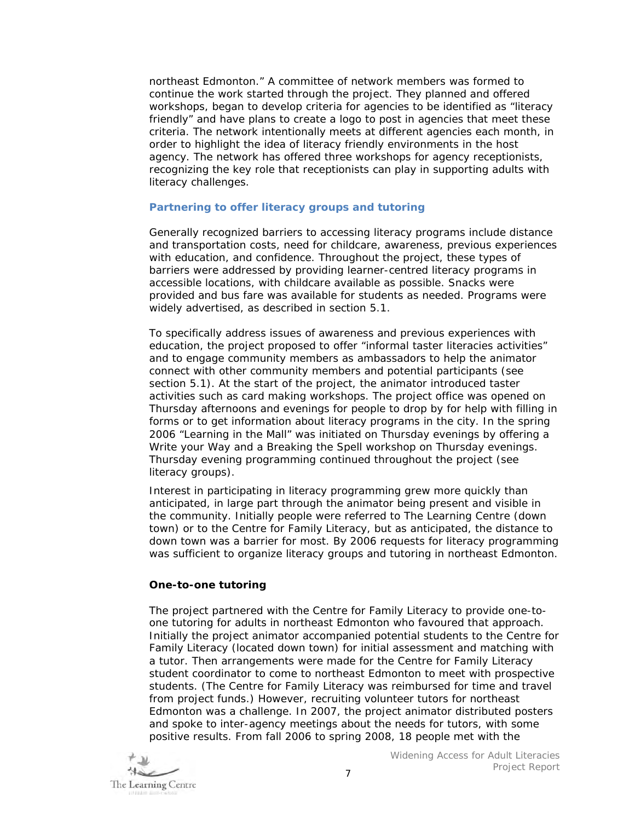northeast Edmonton." A committee of network members was formed to continue the work started through the project. They planned and offered workshops, began to develop criteria for agencies to be identified as "literacy friendly" and have plans to create a logo to post in agencies that meet these criteria. The network intentionally meets at different agencies each month, in order to highlight the idea of literacy friendly environments in the host agency. The network has offered three workshops for agency receptionists, recognizing the key role that receptionists can play in supporting adults with literacy challenges.

#### **Partnering to offer literacy groups and tutoring**

Generally recognized barriers to *accessing literacy programs* include distance and transportation costs, need for childcare, awareness, previous experiences with education, and confidence. Throughout the project, these types of barriers were addressed by providing learner-centred literacy programs in accessible locations, with childcare available as possible. Snacks were provided and bus fare was available for students as needed. Programs were widely advertised, as described in section 5.1.

To specifically address issues of awareness and previous experiences with education, the project proposed to offer "informal taster literacies activities" and to engage community members as ambassadors to help the animator connect with other community members and potential participants (see section 5.1). At the start of the project, the animator introduced taster activities such as card making workshops. The project office was opened on Thursday afternoons and evenings for people to drop by for help with filling in forms or to get information about literacy programs in the city. In the spring 2006 "Learning in the Mall" was initiated on Thursday evenings by offering a *Write your Way* and a *Breaking the Spell* workshop on Thursday evenings. Thursday evening programming continued throughout the project (see literacy groups).

Interest in participating in literacy programming grew more quickly than anticipated, in large part through the animator being present and visible in the community. Initially people were referred to The Learning Centre (down town) or to the Centre for Family Literacy, but as anticipated, the distance to down town was a barrier for most. By 2006 requests for literacy programming was sufficient to organize literacy groups and tutoring in northeast Edmonton.

# **One-to-one tutoring**

The project partnered with the Centre for Family Literacy to provide one-toone tutoring for adults in northeast Edmonton who favoured that approach. Initially the project animator accompanied potential students to the Centre for Family Literacy (located down town) for initial assessment and matching with a tutor. Then arrangements were made for the Centre for Family Literacy student coordinator to come to northeast Edmonton to meet with prospective students. (The Centre for Family Literacy was reimbursed for time and travel from project funds.) However, recruiting volunteer tutors for northeast Edmonton was a challenge. In 2007, the project animator distributed posters and spoke to inter-agency meetings about the needs for tutors, with some positive results. From fall 2006 to spring 2008, 18 people met with the

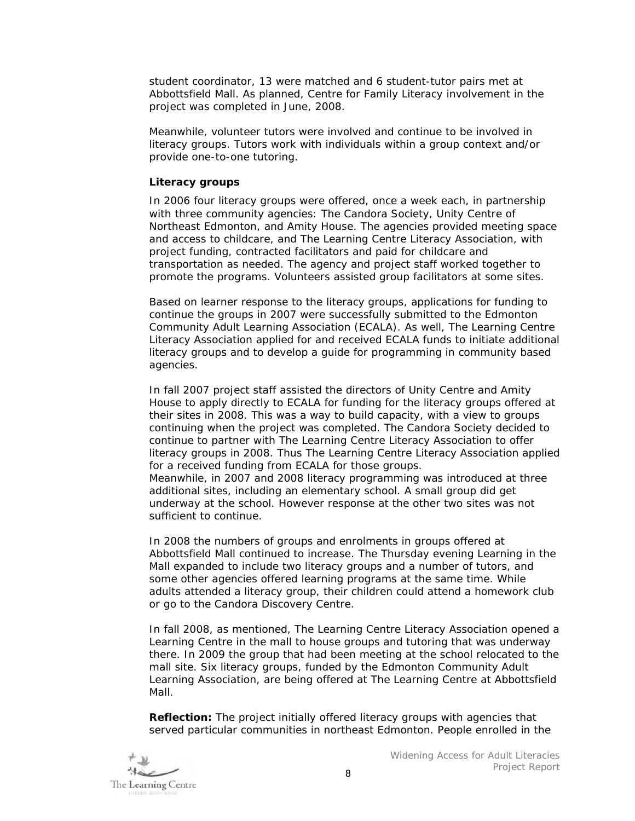student coordinator, 13 were matched and 6 student-tutor pairs met at Abbottsfield Mall. As planned, Centre for Family Literacy involvement in the project was completed in June, 2008.

Meanwhile, volunteer tutors were involved and continue to be involved in literacy groups. Tutors work with individuals within a group context and/or provide one-to-one tutoring.

#### **Literacy groups**

In 2006 four literacy groups were offered, once a week each, in partnership with three community agencies: The Candora Society, Unity Centre of Northeast Edmonton, and Amity House. The agencies provided meeting space and access to childcare, and The Learning Centre Literacy Association, with project funding, contracted facilitators and paid for childcare and transportation as needed. The agency and project staff worked together to promote the programs. Volunteers assisted group facilitators at some sites.

Based on learner response to the literacy groups, applications for funding to continue the groups in 2007 were successfully submitted to the Edmonton Community Adult Learning Association (ECALA). As well, The Learning Centre Literacy Association applied for and received ECALA funds to initiate additional literacy groups and to develop a guide for programming in community based agencies.

In fall 2007 project staff assisted the directors of Unity Centre and Amity House to apply directly to ECALA for funding for the literacy groups offered at their sites in 2008. This was a way to build capacity, with a view to groups continuing when the project was completed. The Candora Society decided to continue to partner with The Learning Centre Literacy Association to offer literacy groups in 2008. Thus The Learning Centre Literacy Association applied for a received funding from ECALA for those groups. Meanwhile, in 2007 and 2008 literacy programming was introduced at three additional sites, including an elementary school. A small group did get underway at the school. However response at the other two sites was not sufficient to continue.

In 2008 the numbers of groups and enrolments in groups offered at Abbottsfield Mall continued to increase. The Thursday evening Learning in the Mall expanded to include two literacy groups and a number of tutors, and some other agencies offered learning programs at the same time. While adults attended a literacy group, their children could attend a homework club or go to the Candora Discovery Centre.

In fall 2008, as mentioned, The Learning Centre Literacy Association opened a Learning Centre in the mall to house groups and tutoring that was underway there. In 2009 the group that had been meeting at the school relocated to the mall site. Six literacy groups, funded by the Edmonton Community Adult Learning Association, are being offered at The Learning Centre at Abbottsfield Mall.

**Reflection:** The project initially offered literacy groups with agencies that served particular communities in northeast Edmonton. People enrolled in the

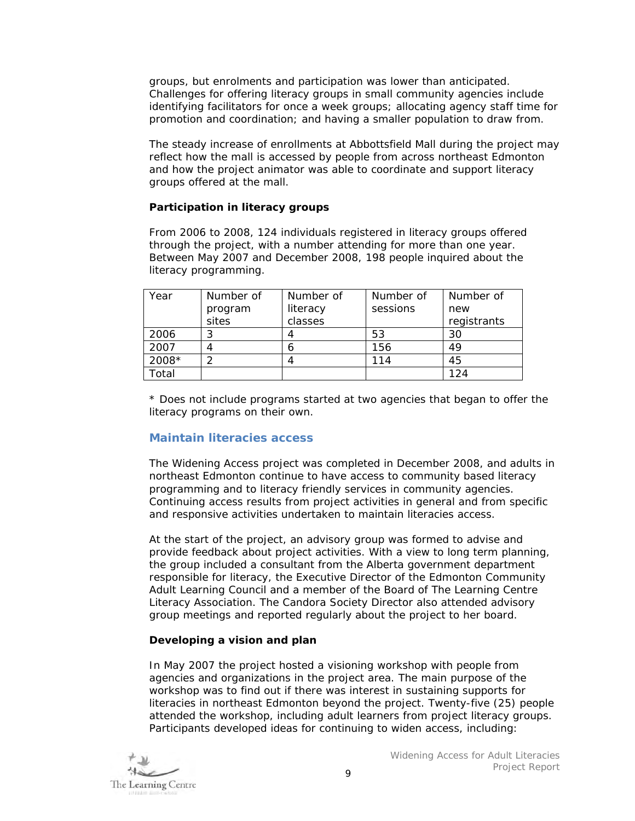groups, but enrolments and participation was lower than anticipated. Challenges for offering literacy groups in small community agencies include identifying facilitators for once a week groups; allocating agency staff time for promotion and coordination; and having a smaller population to draw from.

The steady increase of enrollments at Abbottsfield Mall during the project may reflect how the mall is accessed by people from across northeast Edmonton and how the project animator was able to coordinate and support literacy groups offered at the mall.

#### **Participation in literacy groups**

From 2006 to 2008, 124 individuals registered in literacy groups offered through the project, with a number attending for more than one year. Between May 2007 and December 2008, 198 people inquired about the literacy programming.

| Year  | Number of | Number of | Number of | Number of   |
|-------|-----------|-----------|-----------|-------------|
|       | program   | literacy  | sessions  | new         |
|       | sites     | classes   |           | registrants |
| 2006  |           |           | 53        | 30          |
| 2007  | 4         |           | 156       | 49          |
| 2008* | ⌒         |           | 114       | 45          |
| Total |           |           |           | 124         |

\* Does not include programs started at two agencies that began to offer the literacy programs on their own.

# **Maintain literacies access**

The Widening Access project was completed in December 2008, and adults in northeast Edmonton continue to have access to community based literacy programming and to literacy friendly services in community agencies. Continuing access results from project activities in general and from specific and responsive activities undertaken to maintain literacies access.

At the start of the project, an advisory group was formed to advise and provide feedback about project activities. With a view to long term planning, the group included a consultant from the Alberta government department responsible for literacy, the Executive Director of the Edmonton Community Adult Learning Council and a member of the Board of The Learning Centre Literacy Association. The Candora Society Director also attended advisory group meetings and reported regularly about the project to her board.

#### **Developing a vision and plan**

In May 2007 the project hosted a visioning workshop with people from agencies and organizations in the project area. The main purpose of the workshop was to find out if there was interest in sustaining supports for literacies in northeast Edmonton beyond the project. Twenty-five (25) people attended the workshop, including adult learners from project literacy groups. Participants developed ideas for continuing to widen access, including:

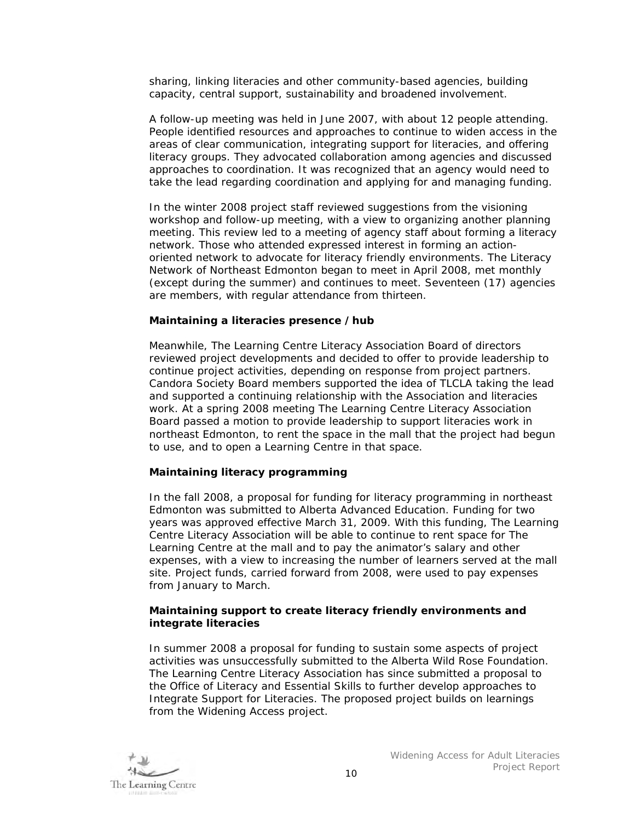sharing, linking literacies and other community-based agencies, building capacity, central support, sustainability and broadened involvement.

A follow-up meeting was held in June 2007, with about 12 people attending. People identified resources and approaches to continue to widen access in the areas of clear communication, integrating support for literacies, and offering literacy groups. They advocated collaboration among agencies and discussed approaches to coordination. It was recognized that an agency would need to take the lead regarding coordination and applying for and managing funding.

In the winter 2008 project staff reviewed suggestions from the visioning workshop and follow-up meeting, with a view to organizing another planning meeting. This review led to a meeting of agency staff about forming a literacy network. Those who attended expressed interest in forming an actionoriented network to advocate for literacy friendly environments. The Literacy Network of Northeast Edmonton began to meet in April 2008, met monthly (except during the summer) and continues to meet. Seventeen (17) agencies are members, with regular attendance from thirteen.

#### **Maintaining a literacies presence /hub**

Meanwhile, The Learning Centre Literacy Association Board of directors reviewed project developments and decided to offer to provide leadership to continue project activities, depending on response from project partners. Candora Society Board members supported the idea of TLCLA taking the lead and supported a continuing relationship with the Association and literacies work. At a spring 2008 meeting The Learning Centre Literacy Association Board passed a motion to provide leadership to support literacies work in northeast Edmonton, to rent the space in the mall that the project had begun to use, and to open a Learning Centre in that space.

#### **Maintaining literacy programming**

In the fall 2008, a proposal for funding for literacy programming in northeast Edmonton was submitted to Alberta Advanced Education. Funding for two years was approved effective March 31, 2009. With this funding, The Learning Centre Literacy Association will be able to continue to rent space for The Learning Centre at the mall and to pay the animator's salary and other expenses, with a view to increasing the number of learners served at the mall site. Project funds, carried forward from 2008, were used to pay expenses from January to March.

#### **Maintaining support to create literacy friendly environments and integrate literacies**

In summer 2008 a proposal for funding to sustain some aspects of project activities was unsuccessfully submitted to the Alberta Wild Rose Foundation. The Learning Centre Literacy Association has since submitted a proposal to the Office of Literacy and Essential Skills to further develop approaches to Integrate Support for Literacies. The proposed project builds on learnings from the Widening Access project.

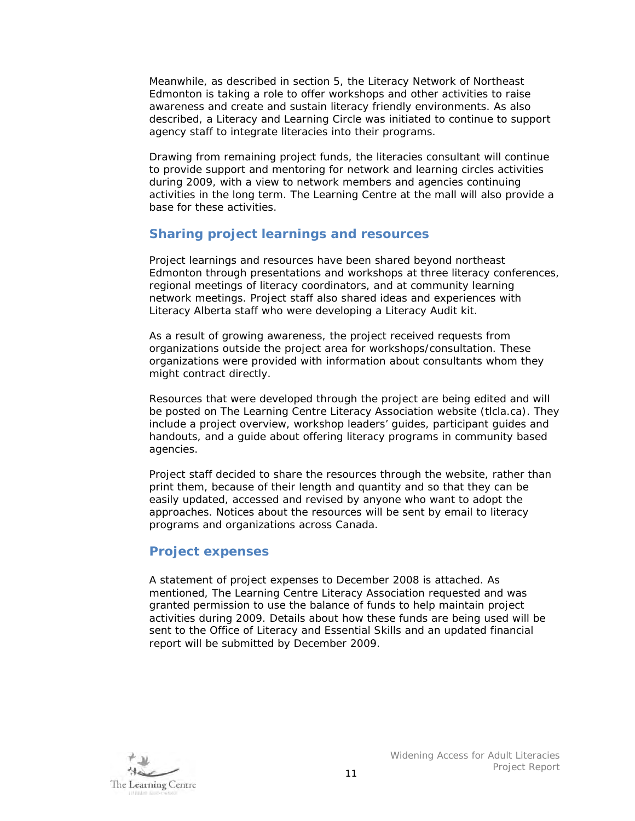Meanwhile, as described in section 5, the Literacy Network of Northeast Edmonton is taking a role to offer workshops and other activities to raise awareness and create and sustain literacy friendly environments. As also described, a Literacy and Learning Circle was initiated to continue to support agency staff to integrate literacies into their programs.

Drawing from remaining project funds, the literacies consultant will continue to provide support and mentoring for network and learning circles activities during 2009, with a view to network members and agencies continuing activities in the long term. The Learning Centre at the mall will also provide a base for these activities.

# **Sharing project learnings and resources**

Project learnings and resources have been shared beyond northeast Edmonton through presentations and workshops at three literacy conferences, regional meetings of literacy coordinators, and at community learning network meetings. Project staff also shared ideas and experiences with Literacy Alberta staff who were developing a Literacy Audit kit.

As a result of growing awareness, the project received requests from organizations outside the project area for workshops/consultation. These organizations were provided with information about consultants whom they might contract directly.

Resources that were developed through the project are being edited and will be posted on The Learning Centre Literacy Association website (tlcla.ca). They include a project overview, workshop leaders' guides, participant guides and handouts, and a guide about offering literacy programs in community based agencies.

Project staff decided to share the resources through the website, rather than print them, because of their length and quantity and so that they can be easily updated, accessed and revised by anyone who want to adopt the approaches. Notices about the resources will be sent by email to literacy programs and organizations across Canada.

# **Project expenses**

A statement of project expenses to December 2008 is attached. As mentioned, The Learning Centre Literacy Association requested and was granted permission to use the balance of funds to help maintain project activities during 2009. Details about how these funds are being used will be sent to the Office of Literacy and Essential Skills and an updated financial report will be submitted by December 2009.